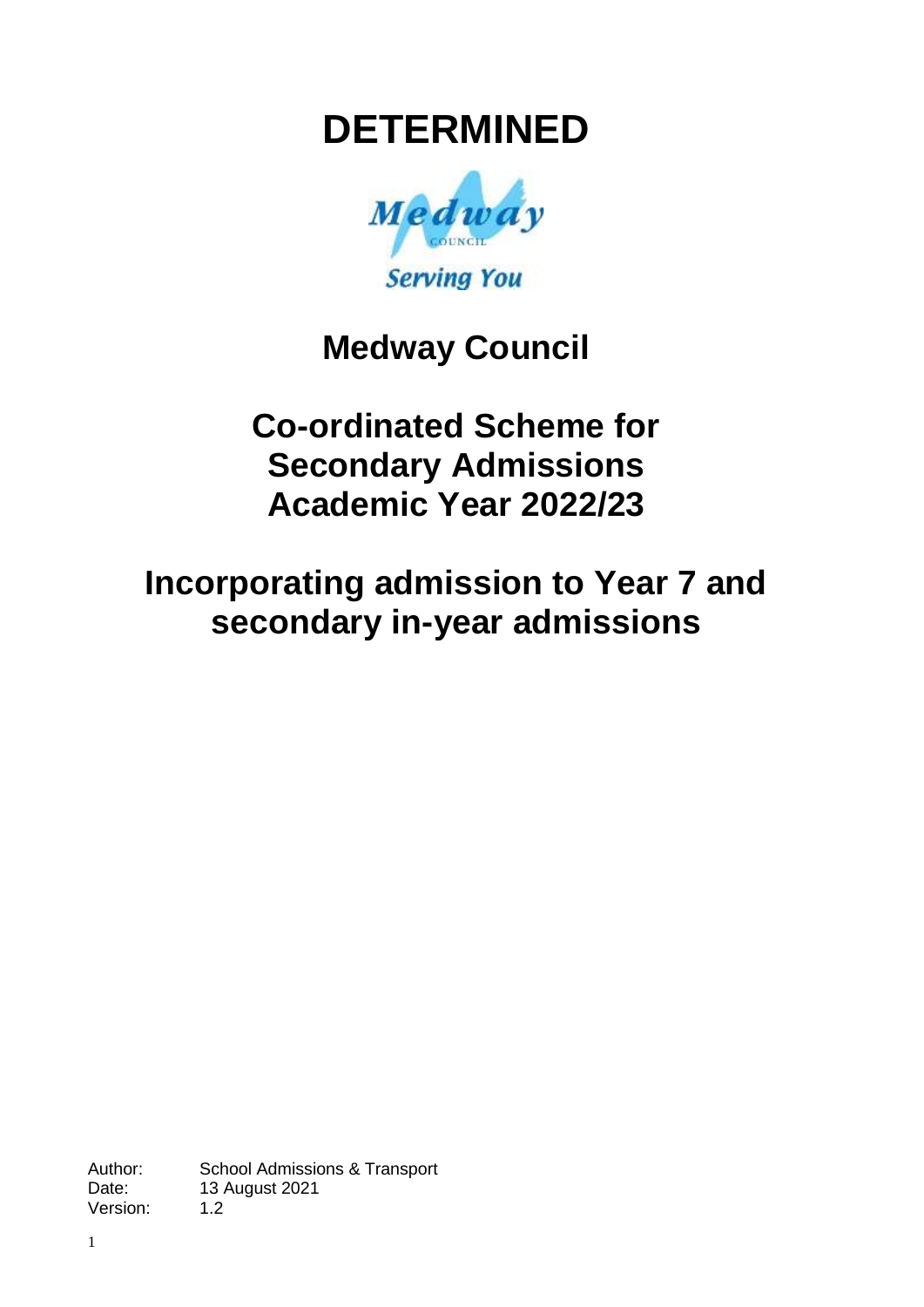# **DETERMINED**



# **Medway Council**

# **Co-ordinated Scheme for Secondary Admissions Academic Year 2022/23**

# **Incorporating admission to Year 7 and secondary in-year admissions**

Author: School Admissions & Transport<br>Date: 13 August 2021 13 August 2021 Version: 1.2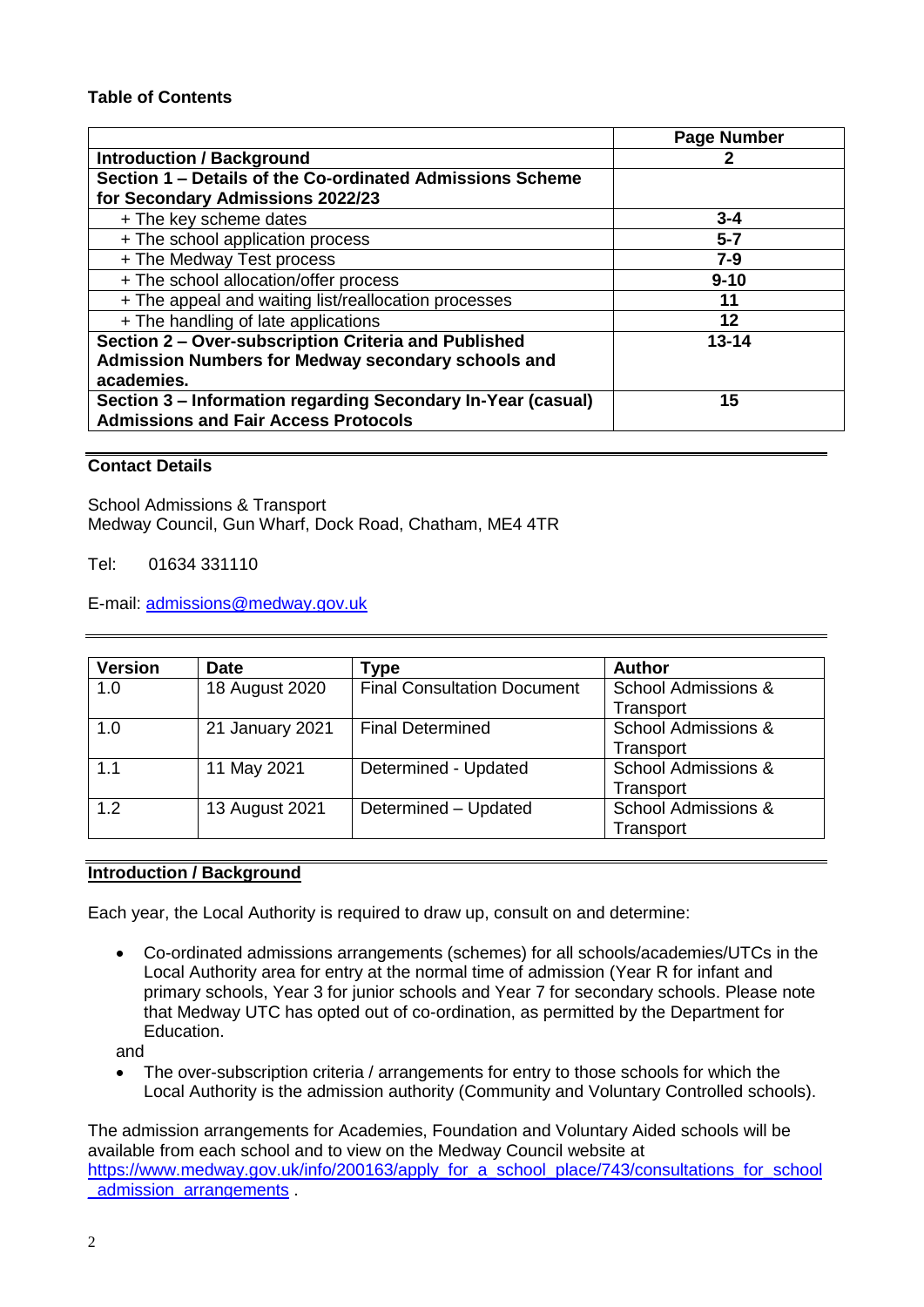#### **Table of Contents**

|                                                              | <b>Page Number</b> |
|--------------------------------------------------------------|--------------------|
| <b>Introduction / Background</b>                             |                    |
| Section 1 - Details of the Co-ordinated Admissions Scheme    |                    |
| for Secondary Admissions 2022/23                             |                    |
| + The key scheme dates                                       | $3 - 4$            |
| + The school application process                             | $5 - 7$            |
| + The Medway Test process                                    | $7 - 9$            |
| + The school allocation/offer process                        | $9 - 10$           |
| + The appeal and waiting list/reallocation processes         | 11                 |
| + The handling of late applications                          | 12                 |
| Section 2 - Over-subscription Criteria and Published         | $13 - 14$          |
| Admission Numbers for Medway secondary schools and           |                    |
| academies.                                                   |                    |
| Section 3 - Information regarding Secondary In-Year (casual) | 15                 |
| <b>Admissions and Fair Access Protocols</b>                  |                    |

#### **Contact Details**

School Admissions & Transport Medway Council, Gun Wharf, Dock Road, Chatham, ME4 4TR

Tel: 01634 331110

E-mail: [admissions@medway.gov.uk](mailto:kent.admissions@kent.gov.uk)

| <b>Version</b> | <b>Date</b>     | Type                               | <b>Author</b>                  |
|----------------|-----------------|------------------------------------|--------------------------------|
| 1.0            | 18 August 2020  | <b>Final Consultation Document</b> | School Admissions &            |
|                |                 |                                    | Transport                      |
| 1.0            | 21 January 2021 | <b>Final Determined</b>            | <b>School Admissions &amp;</b> |
|                |                 |                                    | Transport                      |
| 1.1            | 11 May 2021     | Determined - Updated               | <b>School Admissions &amp;</b> |
|                |                 |                                    | Transport                      |
| 1.2            | 13 August 2021  | Determined - Updated               | <b>School Admissions &amp;</b> |
|                |                 |                                    | Transport                      |

#### **Introduction / Background**

Each year, the Local Authority is required to draw up, consult on and determine:

 Co-ordinated admissions arrangements (schemes) for all schools/academies/UTCs in the Local Authority area for entry at the normal time of admission (Year R for infant and primary schools, Year 3 for junior schools and Year 7 for secondary schools. Please note that Medway UTC has opted out of co-ordination, as permitted by the Department for Education.

and

• The over-subscription criteria / arrangements for entry to those schools for which the Local Authority is the admission authority (Community and Voluntary Controlled schools).

The admission arrangements for Academies, Foundation and Voluntary Aided schools will be available from each school and to view on the Medway Council website at [https://www.medway.gov.uk/info/200163/apply\\_for\\_a\\_school\\_place/743/consultations\\_for\\_school](https://www.medway.gov.uk/info/200163/apply_for_a_school_place/743/consultations_for_school_admission_arrangements) admission arrangements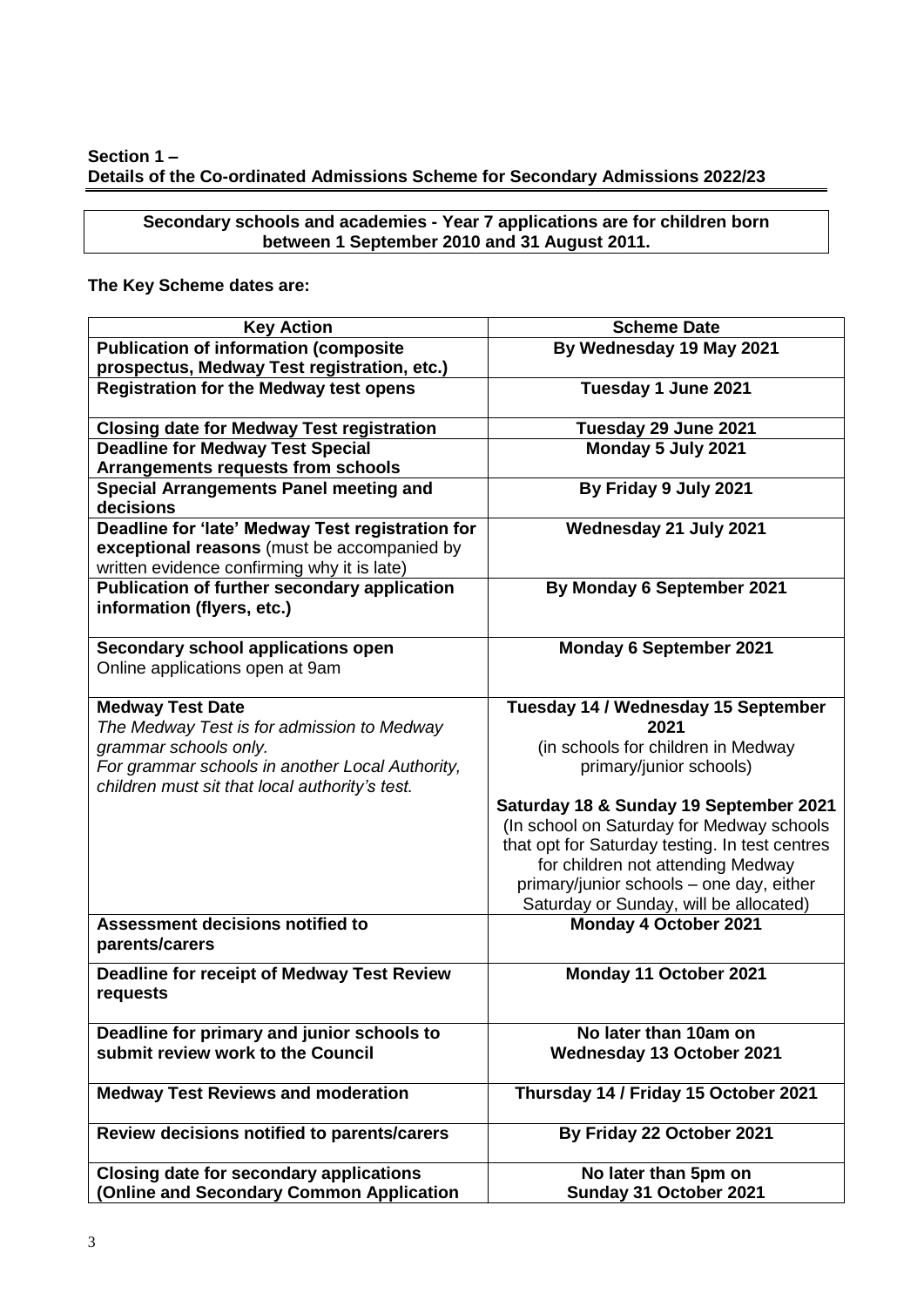#### **Section 1 – Details of the Co-ordinated Admissions Scheme for Secondary Admissions 2022/23**

**Secondary schools and academies - Year 7 applications are for children born between 1 September 2010 and 31 August 2011.**

# **The Key Scheme dates are:**

| <b>Key Action</b>                                   | <b>Scheme Date</b>                             |
|-----------------------------------------------------|------------------------------------------------|
| <b>Publication of information (composite</b>        | By Wednesday 19 May 2021                       |
| prospectus, Medway Test registration, etc.)         |                                                |
| <b>Registration for the Medway test opens</b>       | Tuesday 1 June 2021                            |
| <b>Closing date for Medway Test registration</b>    | Tuesday 29 June 2021                           |
| <b>Deadline for Medway Test Special</b>             | Monday 5 July 2021                             |
| <b>Arrangements requests from schools</b>           |                                                |
| <b>Special Arrangements Panel meeting and</b>       | By Friday 9 July 2021                          |
| decisions                                           |                                                |
| Deadline for 'late' Medway Test registration for    | Wednesday 21 July 2021                         |
| exceptional reasons (must be accompanied by         |                                                |
| written evidence confirming why it is late)         |                                                |
| <b>Publication of further secondary application</b> | By Monday 6 September 2021                     |
| information (flyers, etc.)                          |                                                |
|                                                     |                                                |
| Secondary school applications open                  | <b>Monday 6 September 2021</b>                 |
| Online applications open at 9am                     |                                                |
|                                                     |                                                |
| <b>Medway Test Date</b>                             | Tuesday 14 / Wednesday 15 September            |
| The Medway Test is for admission to Medway          | 2021                                           |
| grammar schools only.                               | (in schools for children in Medway             |
| For grammar schools in another Local Authority,     | primary/junior schools)                        |
| children must sit that local authority's test.      |                                                |
|                                                     | Saturday 18 & Sunday 19 September 2021         |
|                                                     | (In school on Saturday for Medway schools      |
|                                                     | that opt for Saturday testing. In test centres |
|                                                     | for children not attending Medway              |
|                                                     | primary/junior schools - one day, either       |
|                                                     | Saturday or Sunday, will be allocated)         |
| Assessment decisions notified to                    | Monday 4 October 2021                          |
| parents/carers                                      |                                                |
| <b>Deadline for receipt of Medway Test Review</b>   | Monday 11 October 2021                         |
| requests                                            |                                                |
|                                                     |                                                |
| Deadline for primary and junior schools to          | No later than 10am on                          |
| submit review work to the Council                   | Wednesday 13 October 2021                      |
|                                                     |                                                |
| <b>Medway Test Reviews and moderation</b>           | Thursday 14 / Friday 15 October 2021           |
|                                                     |                                                |
| Review decisions notified to parents/carers         | By Friday 22 October 2021                      |
|                                                     |                                                |
| <b>Closing date for secondary applications</b>      | No later than 5pm on                           |
| (Online and Secondary Common Application            | Sunday 31 October 2021                         |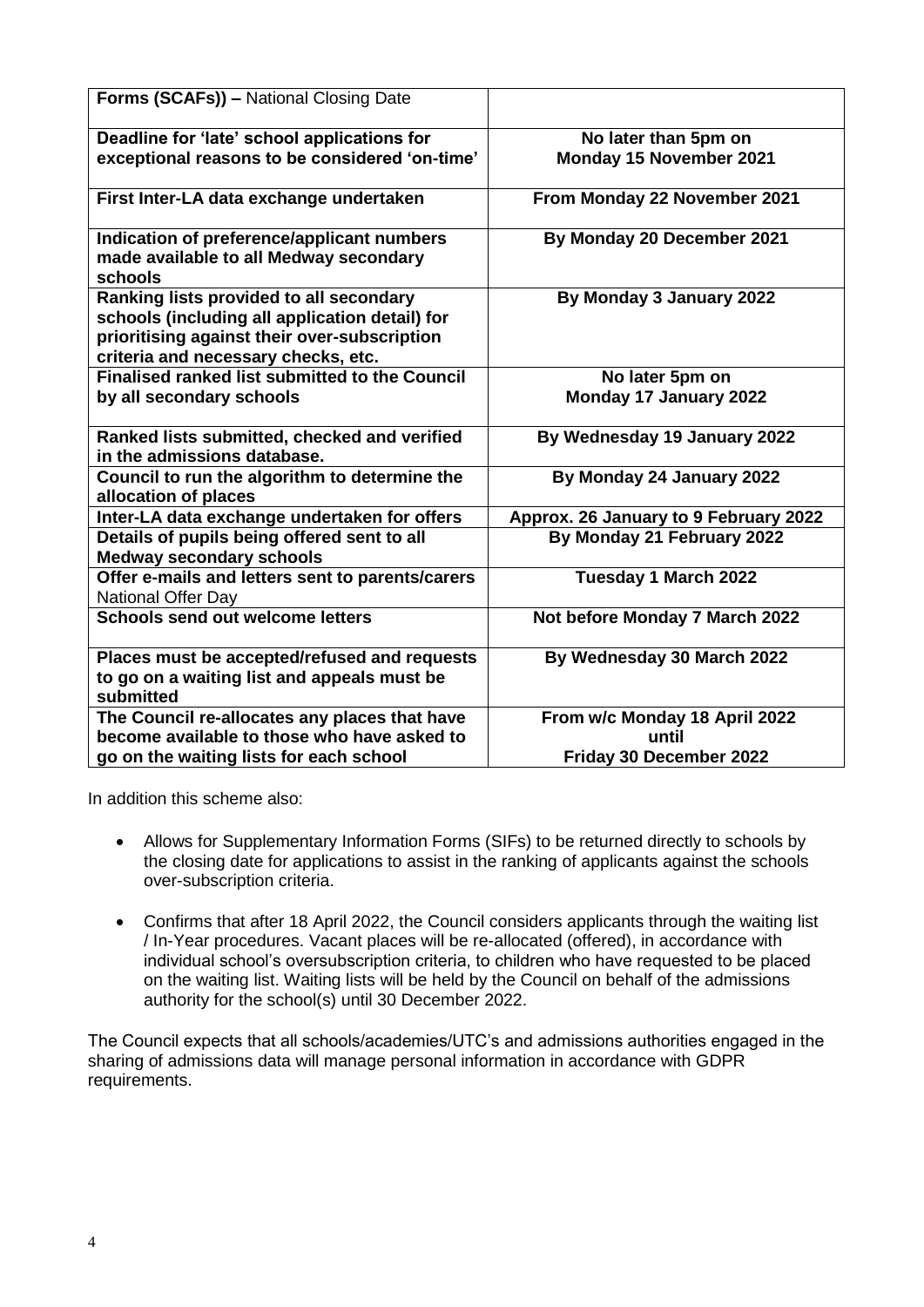| Forms (SCAFs)) - National Closing Date                                                                                                                                                  |                                       |
|-----------------------------------------------------------------------------------------------------------------------------------------------------------------------------------------|---------------------------------------|
| Deadline for 'late' school applications for                                                                                                                                             | No later than 5pm on                  |
| exceptional reasons to be considered 'on-time'                                                                                                                                          | Monday 15 November 2021               |
| First Inter-LA data exchange undertaken                                                                                                                                                 | From Monday 22 November 2021          |
| Indication of preference/applicant numbers<br>made available to all Medway secondary<br>schools                                                                                         | By Monday 20 December 2021            |
| <b>Ranking lists provided to all secondary</b><br>schools (including all application detail) for<br>prioritising against their over-subscription<br>criteria and necessary checks, etc. | By Monday 3 January 2022              |
| <b>Finalised ranked list submitted to the Council</b>                                                                                                                                   | No later 5pm on                       |
| by all secondary schools                                                                                                                                                                | Monday 17 January 2022                |
| Ranked lists submitted, checked and verified<br>in the admissions database.                                                                                                             | By Wednesday 19 January 2022          |
| Council to run the algorithm to determine the<br>allocation of places                                                                                                                   | By Monday 24 January 2022             |
| Inter-LA data exchange undertaken for offers                                                                                                                                            | Approx. 26 January to 9 February 2022 |
| Details of pupils being offered sent to all<br><b>Medway secondary schools</b>                                                                                                          | By Monday 21 February 2022            |
| Offer e-mails and letters sent to parents/carers<br><b>National Offer Day</b>                                                                                                           | Tuesday 1 March 2022                  |
| Schools send out welcome letters                                                                                                                                                        | Not before Monday 7 March 2022        |
| Places must be accepted/refused and requests<br>to go on a waiting list and appeals must be<br>submitted                                                                                | By Wednesday 30 March 2022            |
| The Council re-allocates any places that have                                                                                                                                           | From w/c Monday 18 April 2022         |
| become available to those who have asked to                                                                                                                                             | until                                 |
| go on the waiting lists for each school                                                                                                                                                 | Friday 30 December 2022               |

In addition this scheme also:

- Allows for Supplementary Information Forms (SIFs) to be returned directly to schools by the closing date for applications to assist in the ranking of applicants against the schools over-subscription criteria.
- Confirms that after 18 April 2022, the Council considers applicants through the waiting list / In-Year procedures. Vacant places will be re-allocated (offered), in accordance with individual school's oversubscription criteria, to children who have requested to be placed on the waiting list. Waiting lists will be held by the Council on behalf of the admissions authority for the school(s) until 30 December 2022.

The Council expects that all schools/academies/UTC's and admissions authorities engaged in the sharing of admissions data will manage personal information in accordance with GDPR requirements.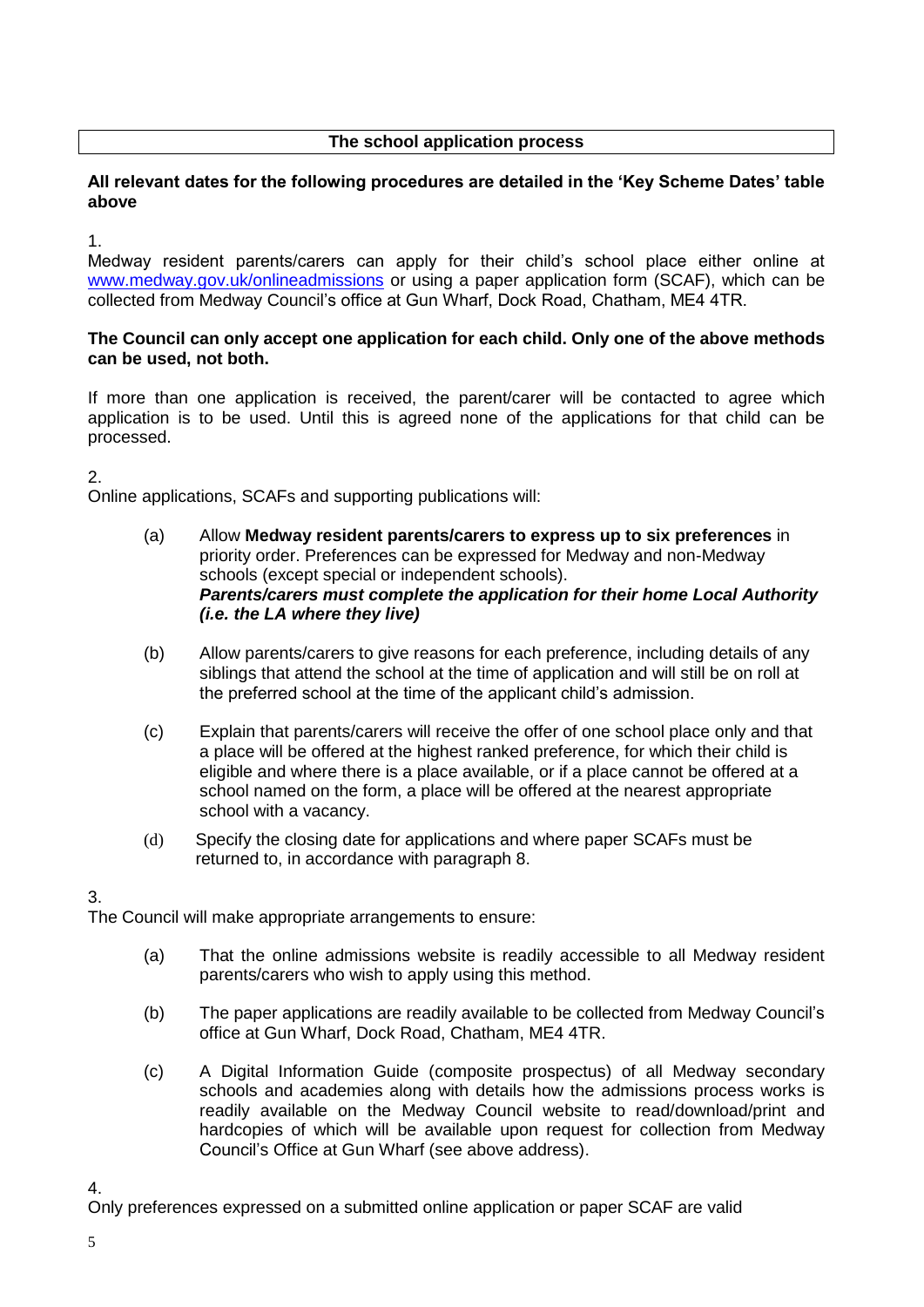# **The school application process**

#### **All relevant dates for the following procedures are detailed in the 'Key Scheme Dates' table above**

1.

Medway resident parents/carers can apply for their child's school place either online at [www.medway.gov.uk/onlineadmissions](http://www.medway.gov.uk/onlineadmissions) or using a paper application form (SCAF), which can be collected from Medway Council's office at Gun Wharf, Dock Road, Chatham, ME4 4TR.

#### **The Council can only accept one application for each child. Only one of the above methods can be used, not both.**

If more than one application is received, the parent/carer will be contacted to agree which application is to be used. Until this is agreed none of the applications for that child can be processed.

2.

Online applications, SCAFs and supporting publications will:

- (a) Allow **Medway resident parents/carers to express up to six preferences** in priority order. Preferences can be expressed for Medway and non-Medway schools (except special or independent schools). *Parents/carers must complete the application for their home Local Authority (i.e. the LA where they live)*
- (b) Allow parents/carers to give reasons for each preference, including details of any siblings that attend the school at the time of application and will still be on roll at the preferred school at the time of the applicant child's admission.
- (c) Explain that parents/carers will receive the offer of one school place only and that a place will be offered at the highest ranked preference, for which their child is eligible and where there is a place available, or if a place cannot be offered at a school named on the form, a place will be offered at the nearest appropriate school with a vacancy.
- (d) Specify the closing date for applications and where paper SCAFs must be returned to, in accordance with paragraph 8.

# 3.

The Council will make appropriate arrangements to ensure:

- (a) That the online admissions website is readily accessible to all Medway resident parents/carers who wish to apply using this method.
- (b) The paper applications are readily available to be collected from Medway Council's office at Gun Wharf, Dock Road, Chatham, ME4 4TR.
- (c) A Digital Information Guide (composite prospectus) of all Medway secondary schools and academies along with details how the admissions process works is readily available on the Medway Council website to read/download/print and hardcopies of which will be available upon request for collection from Medway Council's Office at Gun Wharf (see above address).

4.

Only preferences expressed on a submitted online application or paper SCAF are valid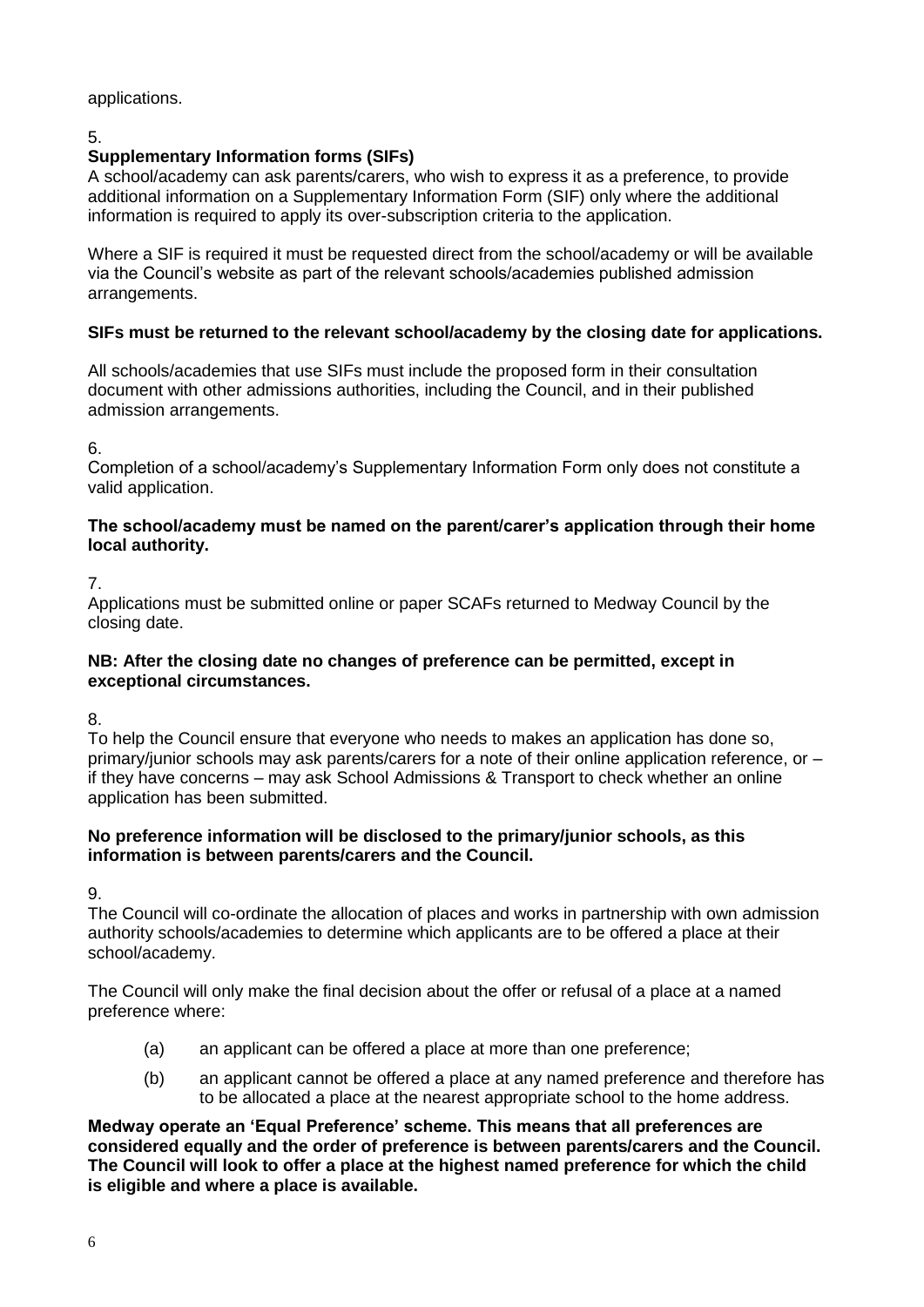### applications.

# 5.

# **Supplementary Information forms (SIFs)**

A school/academy can ask parents/carers, who wish to express it as a preference, to provide additional information on a Supplementary Information Form (SIF) only where the additional information is required to apply its over-subscription criteria to the application.

Where a SIF is required it must be requested direct from the school/academy or will be available via the Council's website as part of the relevant schools/academies published admission arrangements.

# **SIFs must be returned to the relevant school/academy by the closing date for applications.**

All schools/academies that use SIFs must include the proposed form in their consultation document with other admissions authorities, including the Council, and in their published admission arrangements.

#### 6.

Completion of a school/academy's Supplementary Information Form only does not constitute a valid application.

#### **The school/academy must be named on the parent/carer's application through their home local authority.**

#### 7.

Applications must be submitted online or paper SCAFs returned to Medway Council by the closing date.

#### **NB: After the closing date no changes of preference can be permitted, except in exceptional circumstances.**

8.

To help the Council ensure that everyone who needs to makes an application has done so, primary/junior schools may ask parents/carers for a note of their online application reference, or – if they have concerns – may ask School Admissions & Transport to check whether an online application has been submitted.

#### **No preference information will be disclosed to the primary/junior schools, as this information is between parents/carers and the Council.**

9.

The Council will co-ordinate the allocation of places and works in partnership with own admission authority schools/academies to determine which applicants are to be offered a place at their school/academy.

The Council will only make the final decision about the offer or refusal of a place at a named preference where:

- (a) an applicant can be offered a place at more than one preference;
- (b) an applicant cannot be offered a place at any named preference and therefore has to be allocated a place at the nearest appropriate school to the home address.

**Medway operate an 'Equal Preference' scheme. This means that all preferences are considered equally and the order of preference is between parents/carers and the Council. The Council will look to offer a place at the highest named preference for which the child is eligible and where a place is available.**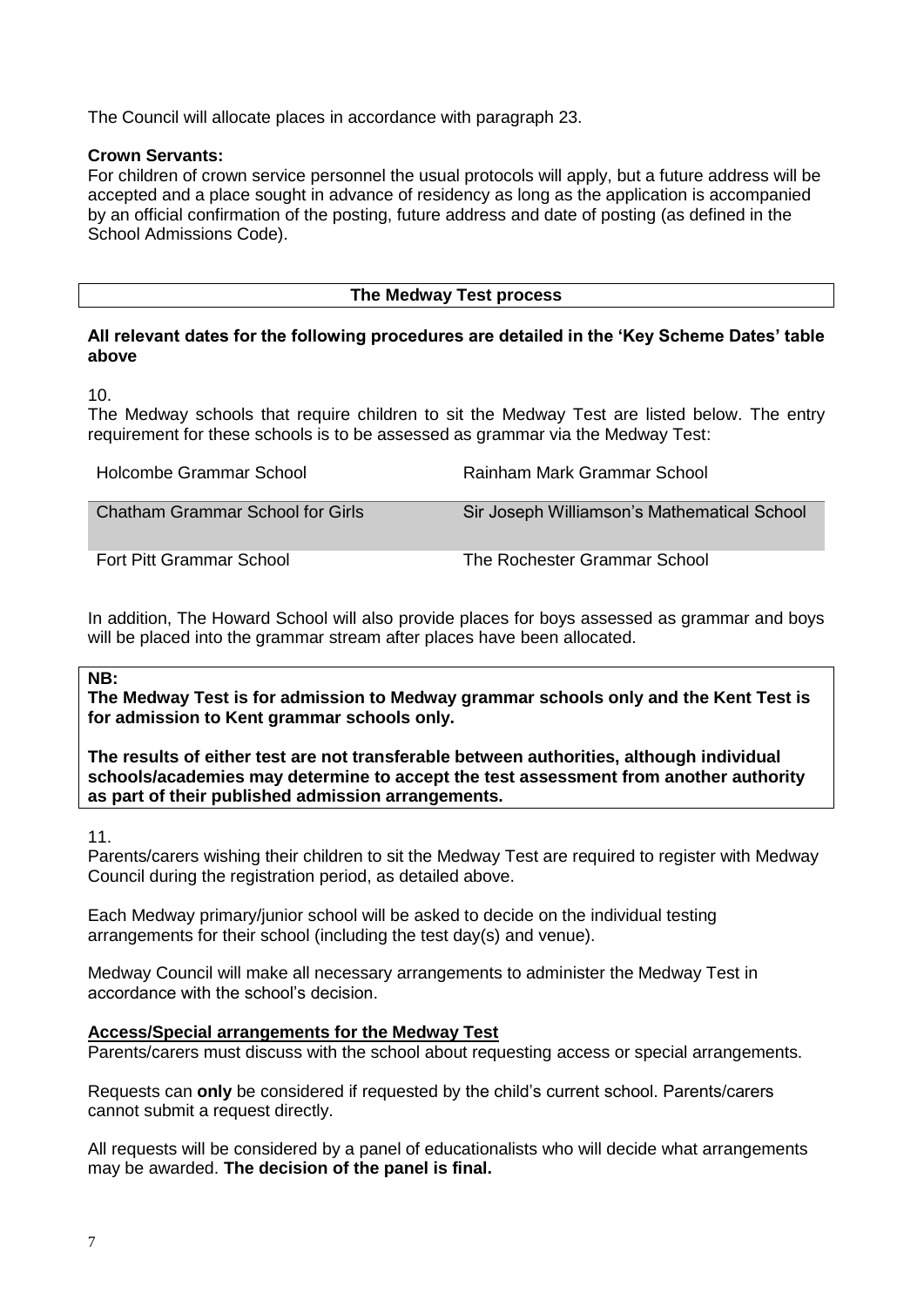The Council will allocate places in accordance with paragraph 23.

# **Crown Servants:**

For children of crown service personnel the usual protocols will apply, but a future address will be accepted and a place sought in advance of residency as long as the application is accompanied by an official confirmation of the posting, future address and date of posting (as defined in the School Admissions Code).

#### **The Medway Test process**

#### **All relevant dates for the following procedures are detailed in the 'Key Scheme Dates' table above**

10.

The Medway schools that require children to sit the Medway Test are listed below. The entry requirement for these schools is to be assessed as grammar via the Medway Test:

| Holcombe Grammar School                 | Rainham Mark Grammar School                 |
|-----------------------------------------|---------------------------------------------|
| <b>Chatham Grammar School for Girls</b> | Sir Joseph Williamson's Mathematical School |
| Fort Pitt Grammar School                | The Rochester Grammar School                |

In addition, The Howard School will also provide places for boys assessed as grammar and boys will be placed into the grammar stream after places have been allocated.

#### **NB:**

**The Medway Test is for admission to Medway grammar schools only and the Kent Test is for admission to Kent grammar schools only.** 

**The results of either test are not transferable between authorities, although individual schools/academies may determine to accept the test assessment from another authority as part of their published admission arrangements.**

11.

Parents/carers wishing their children to sit the Medway Test are required to register with Medway Council during the registration period, as detailed above.

Each Medway primary/junior school will be asked to decide on the individual testing arrangements for their school (including the test day(s) and venue).

Medway Council will make all necessary arrangements to administer the Medway Test in accordance with the school's decision.

#### **Access/Special arrangements for the Medway Test**

Parents/carers must discuss with the school about requesting access or special arrangements.

Requests can **only** be considered if requested by the child's current school. Parents/carers cannot submit a request directly.

All requests will be considered by a panel of educationalists who will decide what arrangements may be awarded. **The decision of the panel is final.**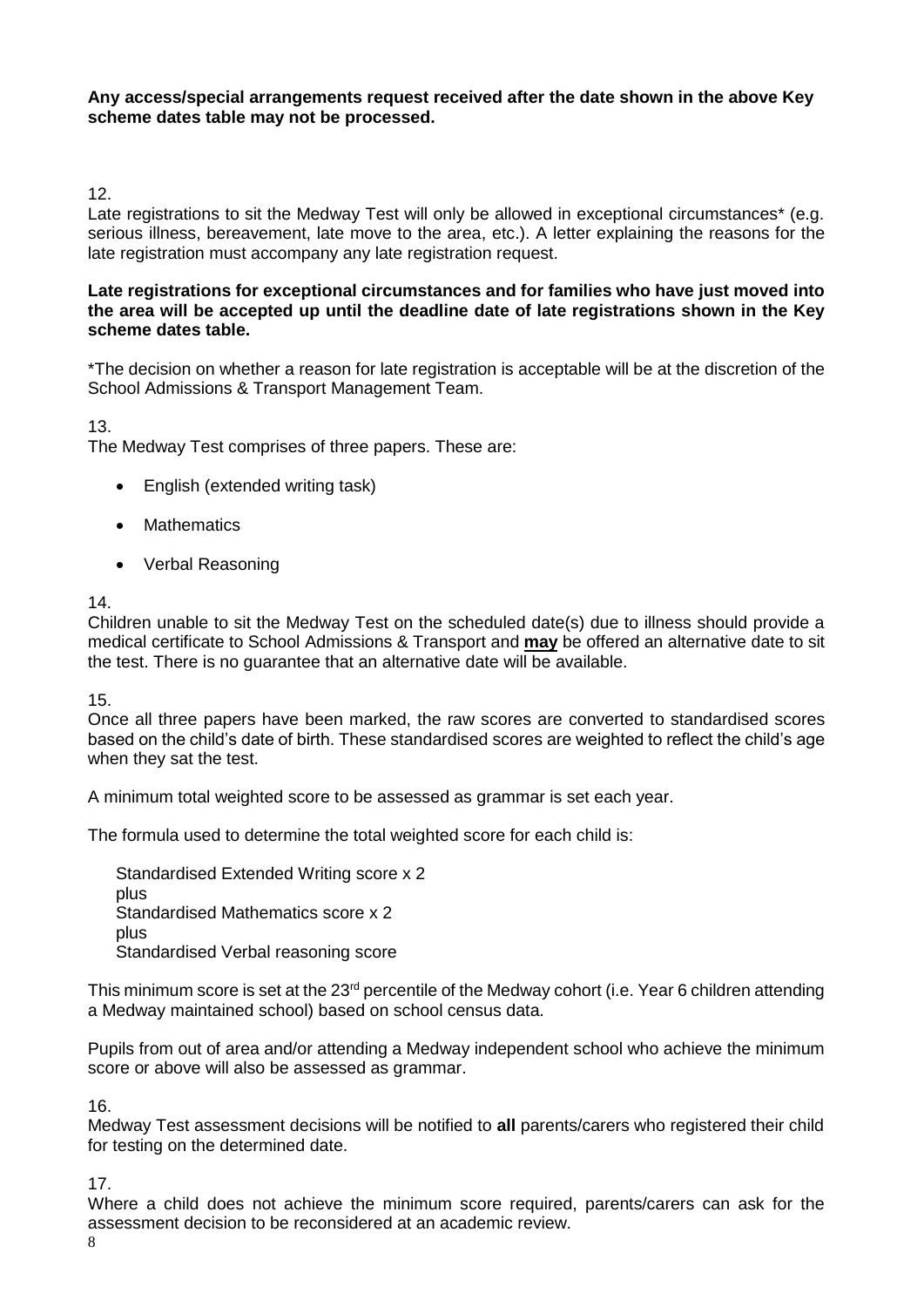#### **Any access/special arrangements request received after the date shown in the above Key scheme dates table may not be processed.**

### 12.

Late registrations to sit the Medway Test will only be allowed in exceptional circumstances\* (e.g. serious illness, bereavement, late move to the area, etc.). A letter explaining the reasons for the late registration must accompany any late registration request.

#### **Late registrations for exceptional circumstances and for families who have just moved into the area will be accepted up until the deadline date of late registrations shown in the Key scheme dates table.**

\*The decision on whether a reason for late registration is acceptable will be at the discretion of the School Admissions & Transport Management Team.

#### 13.

The Medway Test comprises of three papers. These are:

- English (extended writing task)
- Mathematics
- Verbal Reasoning

#### 14.

Children unable to sit the Medway Test on the scheduled date(s) due to illness should provide a medical certificate to School Admissions & Transport and **may** be offered an alternative date to sit the test. There is no guarantee that an alternative date will be available.

15.

Once all three papers have been marked, the raw scores are converted to standardised scores based on the child's date of birth. These standardised scores are weighted to reflect the child's age when they sat the test.

A minimum total weighted score to be assessed as grammar is set each year.

The formula used to determine the total weighted score for each child is:

Standardised Extended Writing score x 2 plus Standardised Mathematics score x 2 plus Standardised Verbal reasoning score

This minimum score is set at the 23<sup>rd</sup> percentile of the Medway cohort (i.e. Year 6 children attending a Medway maintained school) based on school census data.

Pupils from out of area and/or attending a Medway independent school who achieve the minimum score or above will also be assessed as grammar.

16.

Medway Test assessment decisions will be notified to **all** parents/carers who registered their child for testing on the determined date.

17.

Where a child does not achieve the minimum score required, parents/carers can ask for the assessment decision to be reconsidered at an academic review.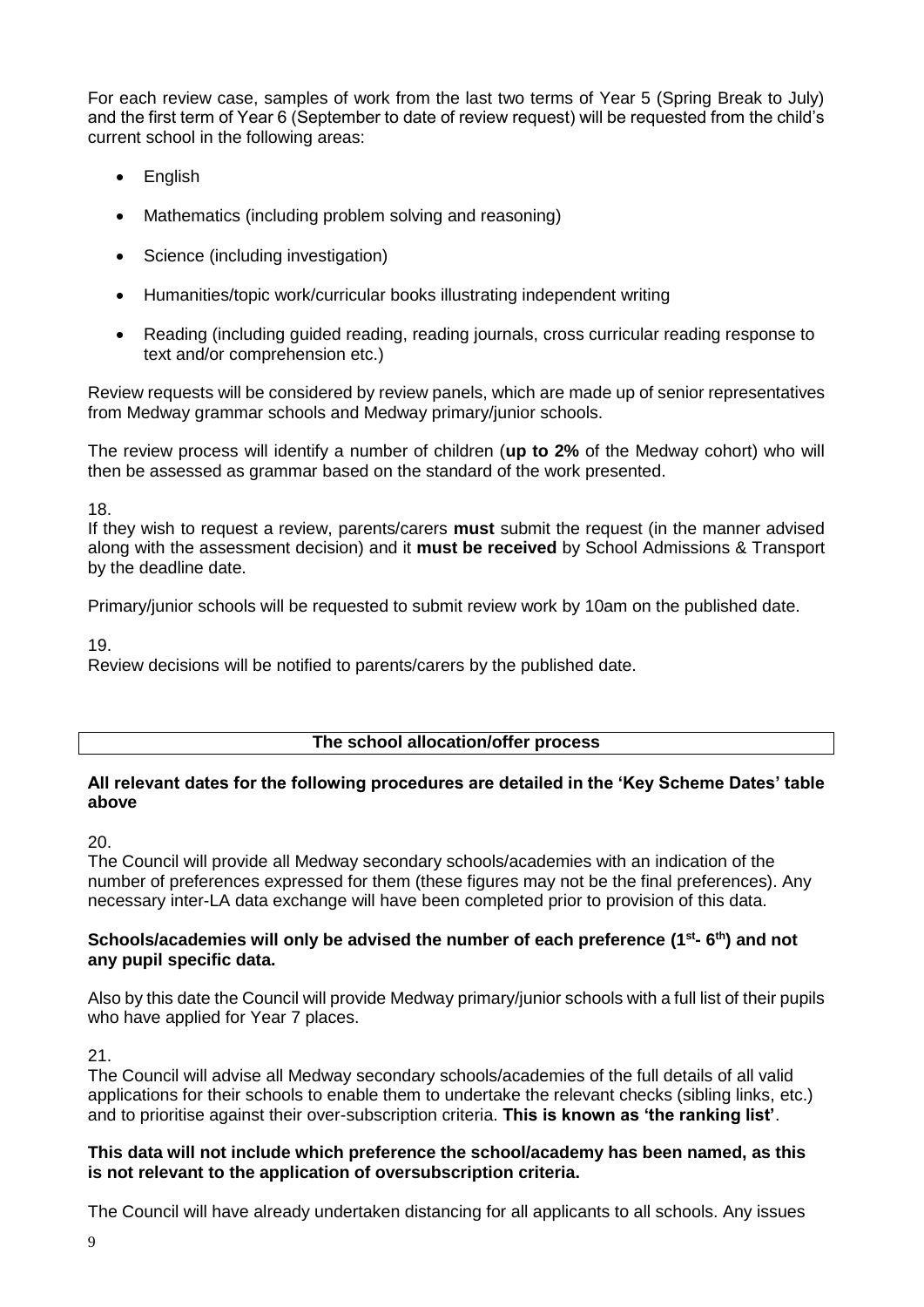For each review case, samples of work from the last two terms of Year 5 (Spring Break to July) and the first term of Year 6 (September to date of review request) will be requested from the child's current school in the following areas:

- English
- Mathematics (including problem solving and reasoning)
- Science (including investigation)
- Humanities/topic work/curricular books illustrating independent writing
- Reading (including guided reading, reading journals, cross curricular reading response to text and/or comprehension etc.)

Review requests will be considered by review panels, which are made up of senior representatives from Medway grammar schools and Medway primary/junior schools.

The review process will identify a number of children (**up to 2%** of the Medway cohort) who will then be assessed as grammar based on the standard of the work presented.

18.

If they wish to request a review, parents/carers **must** submit the request (in the manner advised along with the assessment decision) and it **must be received** by School Admissions & Transport by the deadline date.

Primary/junior schools will be requested to submit review work by 10am on the published date.

19.

Review decisions will be notified to parents/carers by the published date.

#### **The school allocation/offer process**

#### **All relevant dates for the following procedures are detailed in the 'Key Scheme Dates' table above**

#### 20.

The Council will provide all Medway secondary schools/academies with an indication of the number of preferences expressed for them (these figures may not be the final preferences). Any necessary inter-LA data exchange will have been completed prior to provision of this data.

#### **Schools/academies will only be advised the number of each preference (1st - 6 th) and not any pupil specific data.**

Also by this date the Council will provide Medway primary/junior schools with a full list of their pupils who have applied for Year 7 places.

#### 21.

The Council will advise all Medway secondary schools/academies of the full details of all valid applications for their schools to enable them to undertake the relevant checks (sibling links, etc.) and to prioritise against their over-subscription criteria. **This is known as 'the ranking list'**.

#### **This data will not include which preference the school/academy has been named, as this is not relevant to the application of oversubscription criteria.**

The Council will have already undertaken distancing for all applicants to all schools. Any issues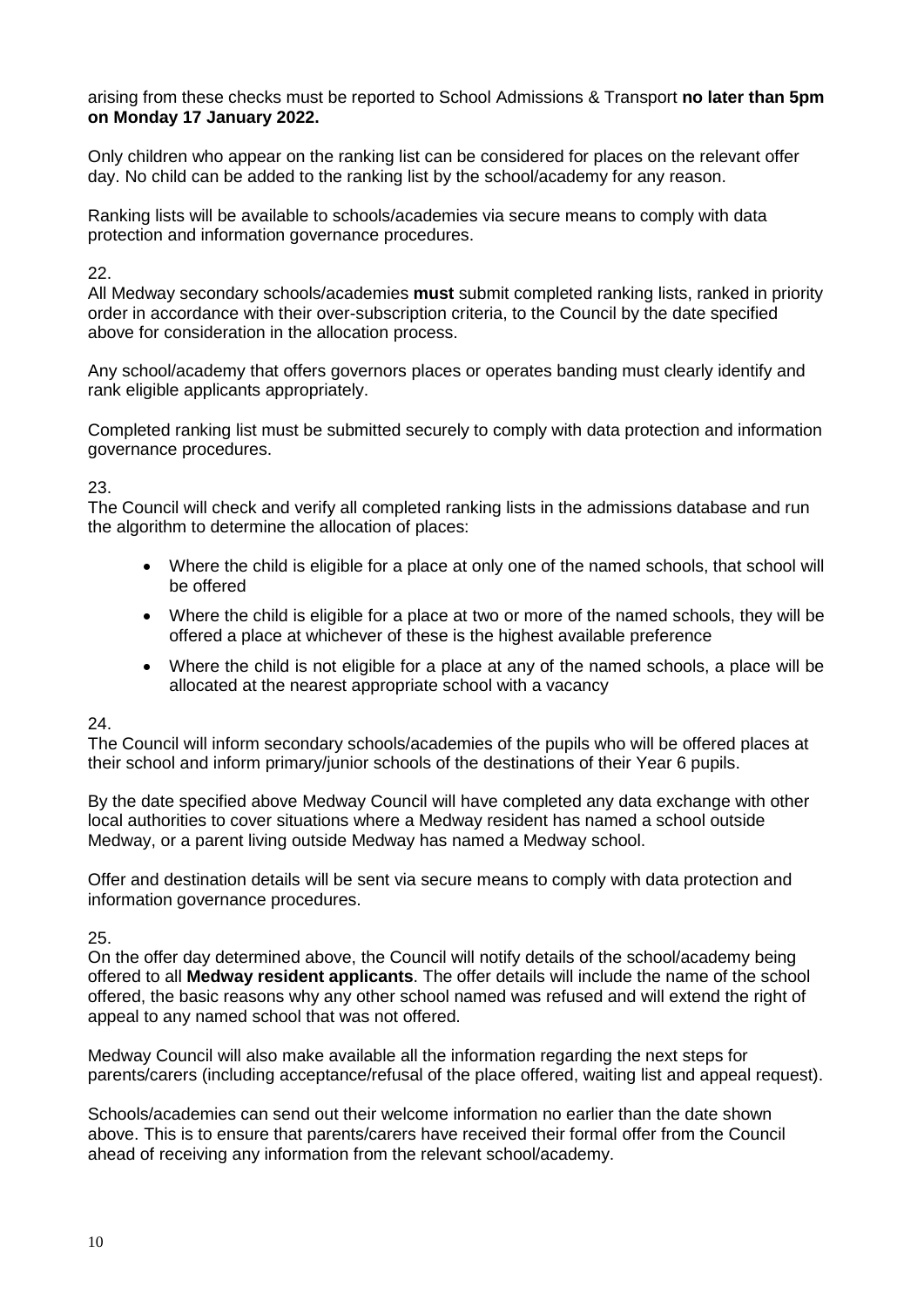arising from these checks must be reported to School Admissions & Transport **no later than 5pm on Monday 17 January 2022.**

Only children who appear on the ranking list can be considered for places on the relevant offer day. No child can be added to the ranking list by the school/academy for any reason.

Ranking lists will be available to schools/academies via secure means to comply with data protection and information governance procedures.

22.

All Medway secondary schools/academies **must** submit completed ranking lists, ranked in priority order in accordance with their over-subscription criteria, to the Council by the date specified above for consideration in the allocation process.

Any school/academy that offers governors places or operates banding must clearly identify and rank eligible applicants appropriately.

Completed ranking list must be submitted securely to comply with data protection and information governance procedures.

23.

The Council will check and verify all completed ranking lists in the admissions database and run the algorithm to determine the allocation of places:

- Where the child is eligible for a place at only one of the named schools, that school will be offered
- Where the child is eligible for a place at two or more of the named schools, they will be offered a place at whichever of these is the highest available preference
- Where the child is not eligible for a place at any of the named schools, a place will be allocated at the nearest appropriate school with a vacancy

24.

The Council will inform secondary schools/academies of the pupils who will be offered places at their school and inform primary/junior schools of the destinations of their Year 6 pupils.

By the date specified above Medway Council will have completed any data exchange with other local authorities to cover situations where a Medway resident has named a school outside Medway, or a parent living outside Medway has named a Medway school.

Offer and destination details will be sent via secure means to comply with data protection and information governance procedures.

25.

On the offer day determined above, the Council will notify details of the school/academy being offered to all **Medway resident applicants**. The offer details will include the name of the school offered, the basic reasons why any other school named was refused and will extend the right of appeal to any named school that was not offered.

Medway Council will also make available all the information regarding the next steps for parents/carers (including acceptance/refusal of the place offered, waiting list and appeal request).

Schools/academies can send out their welcome information no earlier than the date shown above. This is to ensure that parents/carers have received their formal offer from the Council ahead of receiving any information from the relevant school/academy.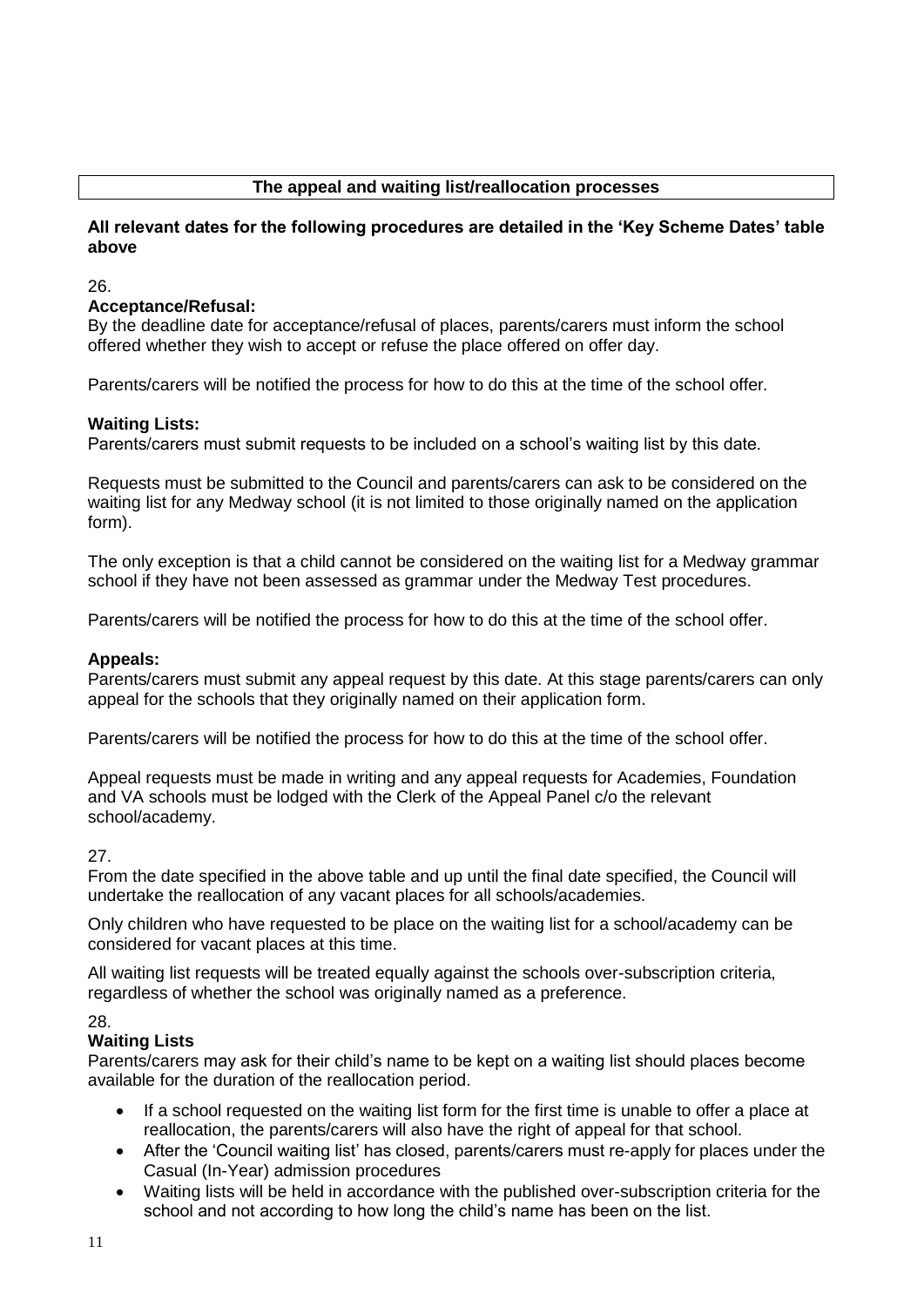# **The appeal and waiting list/reallocation processes**

#### **All relevant dates for the following procedures are detailed in the 'Key Scheme Dates' table above**

26.

#### **Acceptance/Refusal:**

By the deadline date for acceptance/refusal of places, parents/carers must inform the school offered whether they wish to accept or refuse the place offered on offer day.

Parents/carers will be notified the process for how to do this at the time of the school offer*.*

#### **Waiting Lists:**

Parents/carers must submit requests to be included on a school's waiting list by this date.

Requests must be submitted to the Council and parents/carers can ask to be considered on the waiting list for any Medway school (it is not limited to those originally named on the application form).

The only exception is that a child cannot be considered on the waiting list for a Medway grammar school if they have not been assessed as grammar under the Medway Test procedures.

Parents/carers will be notified the process for how to do this at the time of the school offer.

#### **Appeals:**

Parents/carers must submit any appeal request by this date. At this stage parents/carers can only appeal for the schools that they originally named on their application form.

Parents/carers will be notified the process for how to do this at the time of the school offer.

Appeal requests must be made in writing and any appeal requests for Academies, Foundation and VA schools must be lodged with the Clerk of the Appeal Panel c/o the relevant school/academy.

#### 27.

From the date specified in the above table and up until the final date specified, the Council will undertake the reallocation of any vacant places for all schools/academies.

Only children who have requested to be place on the waiting list for a school/academy can be considered for vacant places at this time.

All waiting list requests will be treated equally against the schools over-subscription criteria, regardless of whether the school was originally named as a preference.

#### 28.

#### **Waiting Lists**

Parents/carers may ask for their child's name to be kept on a waiting list should places become available for the duration of the reallocation period.

- If a school requested on the waiting list form for the first time is unable to offer a place at reallocation, the parents/carers will also have the right of appeal for that school.
- After the 'Council waiting list' has closed, parents/carers must re-apply for places under the Casual (In-Year) admission procedures
- Waiting lists will be held in accordance with the published over-subscription criteria for the school and not according to how long the child's name has been on the list.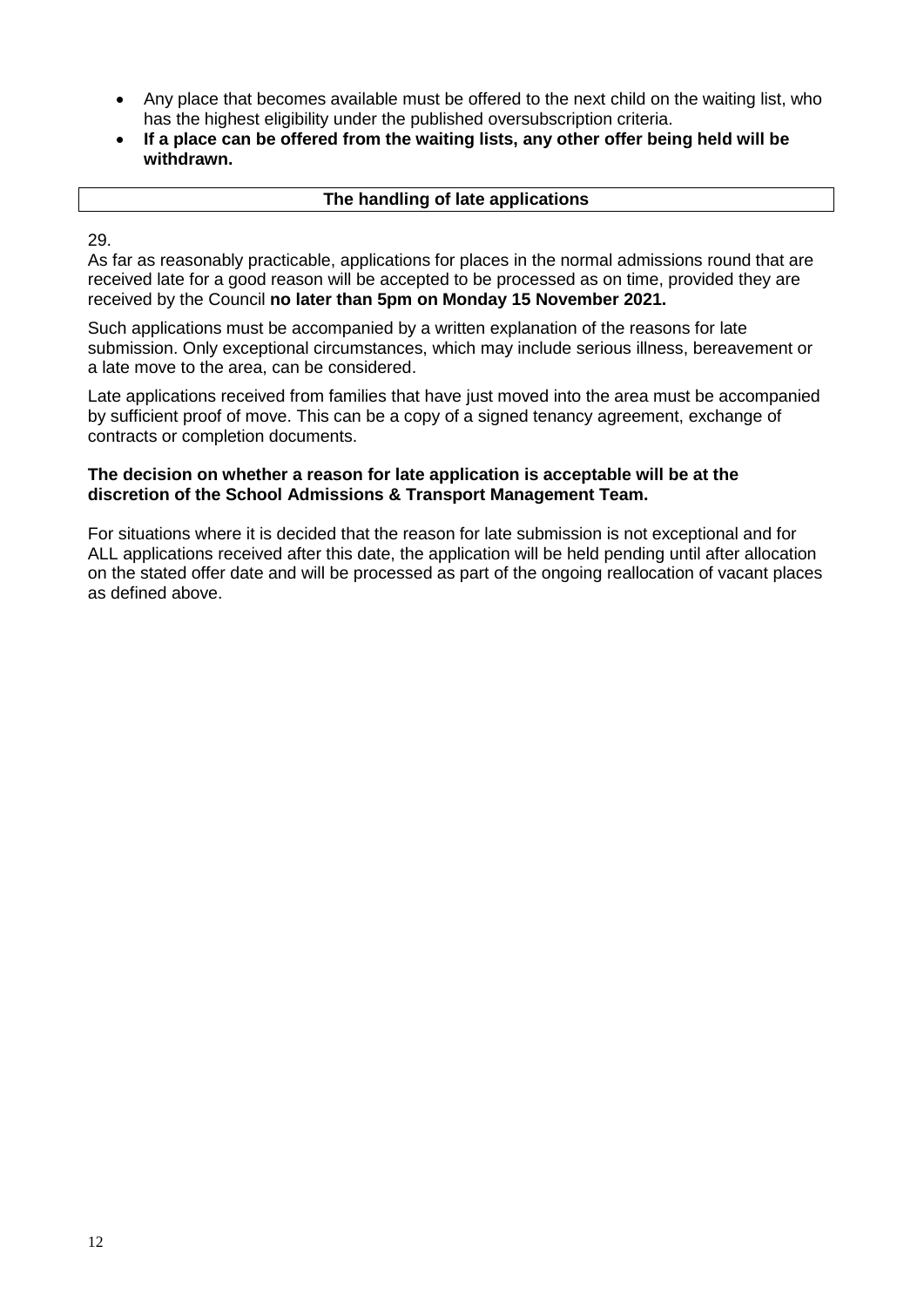- Any place that becomes available must be offered to the next child on the waiting list, who has the highest eligibility under the published oversubscription criteria.
- **If a place can be offered from the waiting lists, any other offer being held will be withdrawn.**

#### **The handling of late applications**

29.

As far as reasonably practicable, applications for places in the normal admissions round that are received late for a good reason will be accepted to be processed as on time, provided they are received by the Council **no later than 5pm on Monday 15 November 2021.**

Such applications must be accompanied by a written explanation of the reasons for late submission. Only exceptional circumstances, which may include serious illness, bereavement or a late move to the area, can be considered.

Late applications received from families that have just moved into the area must be accompanied by sufficient proof of move. This can be a copy of a signed tenancy agreement, exchange of contracts or completion documents.

#### **The decision on whether a reason for late application is acceptable will be at the discretion of the School Admissions & Transport Management Team.**

For situations where it is decided that the reason for late submission is not exceptional and for ALL applications received after this date, the application will be held pending until after allocation on the stated offer date and will be processed as part of the ongoing reallocation of vacant places as defined above.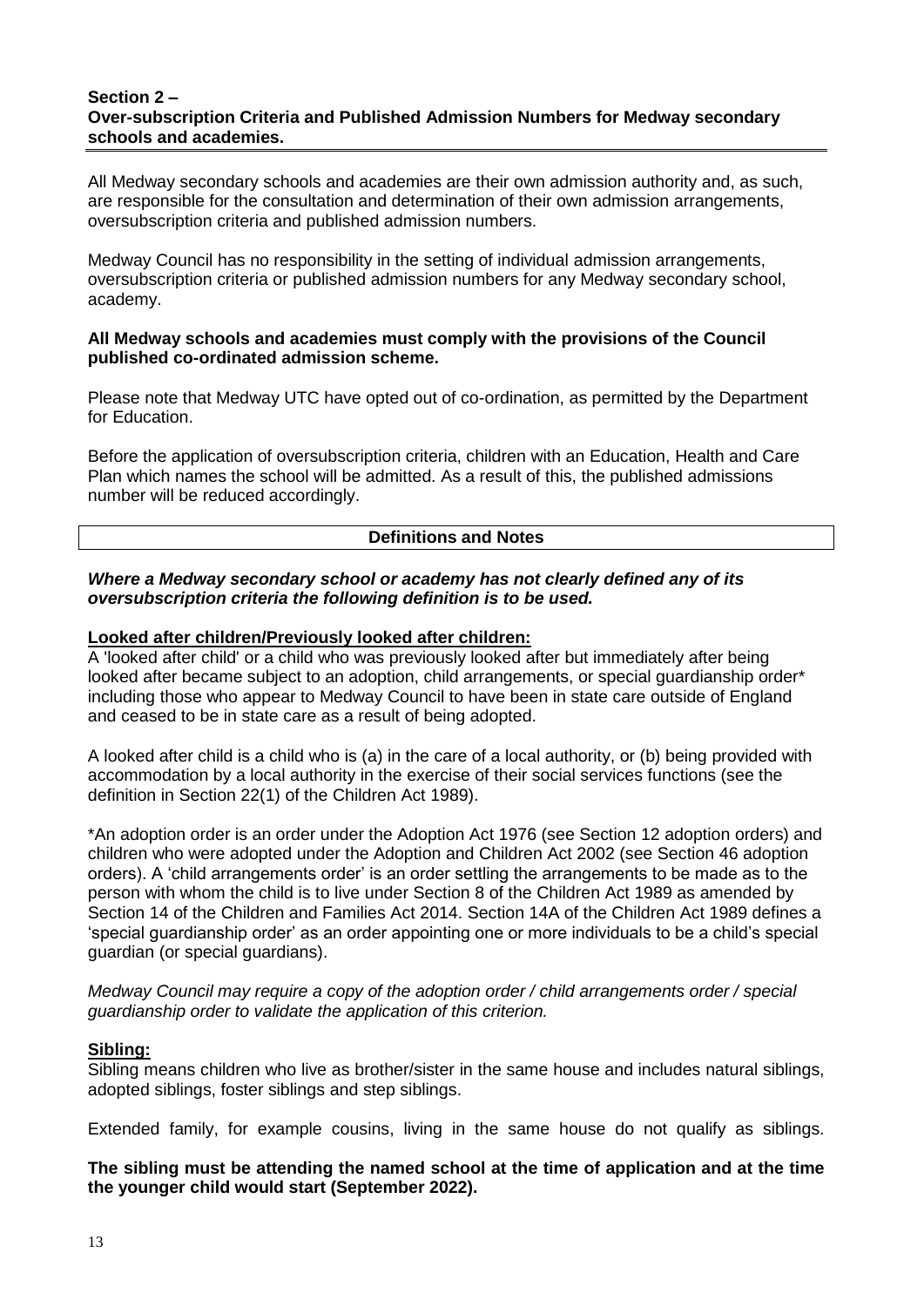#### **Section 2 – Over-subscription Criteria and Published Admission Numbers for Medway secondary schools and academies.**

All Medway secondary schools and academies are their own admission authority and, as such, are responsible for the consultation and determination of their own admission arrangements, oversubscription criteria and published admission numbers.

Medway Council has no responsibility in the setting of individual admission arrangements, oversubscription criteria or published admission numbers for any Medway secondary school, academy.

#### **All Medway schools and academies must comply with the provisions of the Council published co-ordinated admission scheme.**

Please note that Medway UTC have opted out of co-ordination, as permitted by the Department for Education.

Before the application of oversubscription criteria, children with an Education, Health and Care Plan which names the school will be admitted. As a result of this, the published admissions number will be reduced accordingly.

#### **Definitions and Notes**

#### *Where a Medway secondary school or academy has not clearly defined any of its oversubscription criteria the following definition is to be used.*

#### **Looked after children/Previously looked after children:**

A 'looked after child' or a child who was previously looked after but immediately after being looked after became subject to an adoption, child arrangements, or special quardianship order\* including those who appear to Medway Council to have been in state care outside of England and ceased to be in state care as a result of being adopted.

A looked after child is a child who is (a) in the care of a local authority, or (b) being provided with accommodation by a local authority in the exercise of their social services functions (see the definition in Section 22(1) of the Children Act 1989).

\*An adoption order is an order under the Adoption Act 1976 (see Section 12 adoption orders) and children who were adopted under the Adoption and Children Act 2002 (see Section 46 adoption orders). A 'child arrangements order' is an order settling the arrangements to be made as to the person with whom the child is to live under Section 8 of the Children Act 1989 as amended by Section 14 of the Children and Families Act 2014. Section 14A of the Children Act 1989 defines a 'special guardianship order' as an order appointing one or more individuals to be a child's special guardian (or special guardians).

*Medway Council may require a copy of the adoption order / child arrangements order / special guardianship order to validate the application of this criterion.*

#### **Sibling:**

Sibling means children who live as brother/sister in the same house and includes natural siblings, adopted siblings, foster siblings and step siblings.

Extended family, for example cousins, living in the same house do not qualify as siblings.

**The sibling must be attending the named school at the time of application and at the time the younger child would start (September 2022).**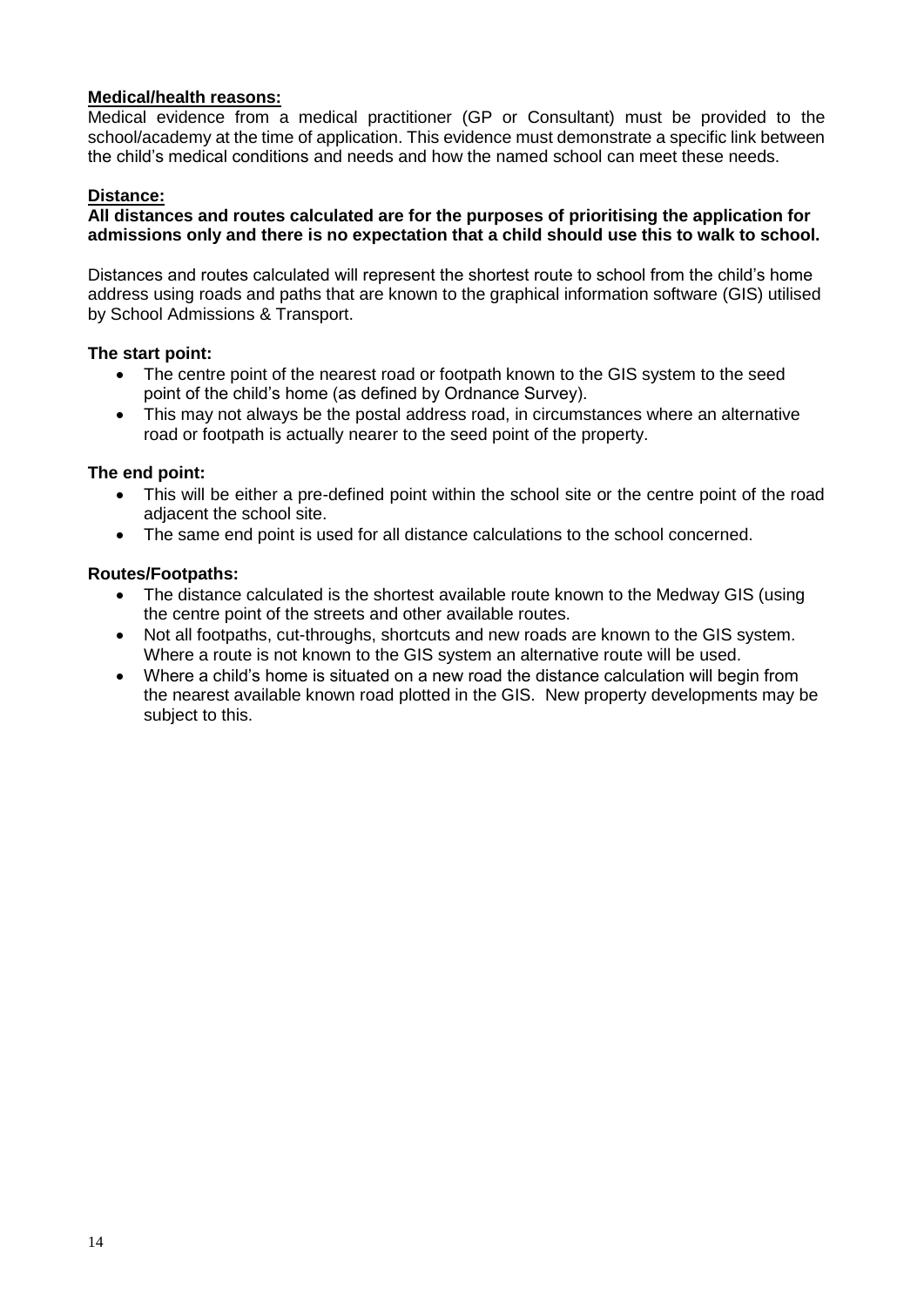#### **Medical/health reasons:**

Medical evidence from a medical practitioner (GP or Consultant) must be provided to the school/academy at the time of application. This evidence must demonstrate a specific link between the child's medical conditions and needs and how the named school can meet these needs.

#### **Distance:**

#### **All distances and routes calculated are for the purposes of prioritising the application for admissions only and there is no expectation that a child should use this to walk to school.**

Distances and routes calculated will represent the shortest route to school from the child's home address using roads and paths that are known to the graphical information software (GIS) utilised by School Admissions & Transport.

#### **The start point:**

- The centre point of the nearest road or footpath known to the GIS system to the seed point of the child's home (as defined by Ordnance Survey).
- This may not always be the postal address road, in circumstances where an alternative road or footpath is actually nearer to the seed point of the property.

#### **The end point:**

- This will be either a pre-defined point within the school site or the centre point of the road adjacent the school site.
- The same end point is used for all distance calculations to the school concerned.

#### **Routes/Footpaths:**

- The distance calculated is the shortest available route known to the Medway GIS (using the centre point of the streets and other available routes.
- Not all footpaths, cut-throughs, shortcuts and new roads are known to the GIS system. Where a route is not known to the GIS system an alternative route will be used.
- Where a child's home is situated on a new road the distance calculation will begin from the nearest available known road plotted in the GIS. New property developments may be subject to this.